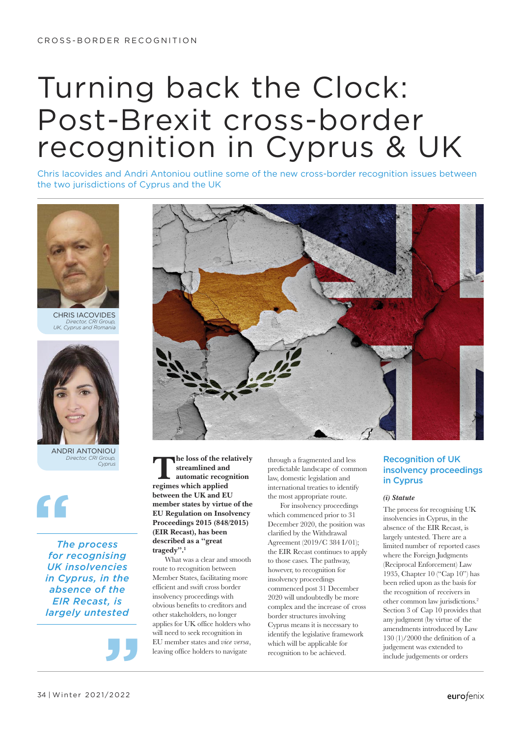# Turning back the Clock: Post-Brexit cross-border recognition in Cyprus & UK

Chris Iacovides and Andri Antoniou outline some of the new cross-border recognition issues between the two jurisdictions of Cyprus and the UK



CHRIS IACOVIDES *Director, CRI Group, UK, Cyprus and Romania*



ANDRI ANTONIOU *Director, CRI Group,* 

**"** The form

*The process for recognising UK insolvencies in Cyprus, in the absence of the EIR Recast, is largely untested*

 $\frac{1}{2}$ 



*Cyprus*<br> **The loss of the relatively<br>
streamlined and<br>
automatic recognition<br>
regimes which annied streamlined and regimes which applied between the UK and EU member states by virtue of the EU Regulation on Insolvency Proceedings 2015 (848/2015) (EIR Recast), has been described as a "great tragedy".1**

What was a clear and smooth route to recognition between Member States, facilitating more efficient and swift cross border insolvency proceedings with obvious benefits to creditors and other stakeholders, no longer applies for UK office holders who will need to seek recognition in EU member states and *vice versa*, leaving office holders to navigate

through a fragmented and less predictable landscape of common law, domestic legislation and international treaties to identify the most appropriate route.

For insolvency proceedings which commenced prior to 31 December 2020, the position was clarified by the Withdrawal Agreement (2019/C 384 I/01); the EIR Recast continues to apply to those cases. The pathway, however, to recognition for insolvency proceedings commenced post 31 December 2020 will undoubtedly be more complex and the increase of cross border structures involving Cyprus means it is necessary to identify the legislative framework which will be applicable for recognition to be achieved.

# Recognition of UK insolvency proceedings in Cyprus

### *(i) Statute*

The process for recognising UK insolvencies in Cyprus, in the absence of the EIR Recast, is largely untested. There are a limited number of reported cases where the Foreign Judgments (Reciprocal Enforcement) Law 1935, Chapter 10 ("Cap 10") has been relied upon as the basis for the recognition of receivers in other common law jurisdictions.2 Section 3 of Cap 10 provides that any judgment (by virtue of the amendments introduced by Law 130 (1)/2000 the definition of a judgement was extended to include judgements or orders